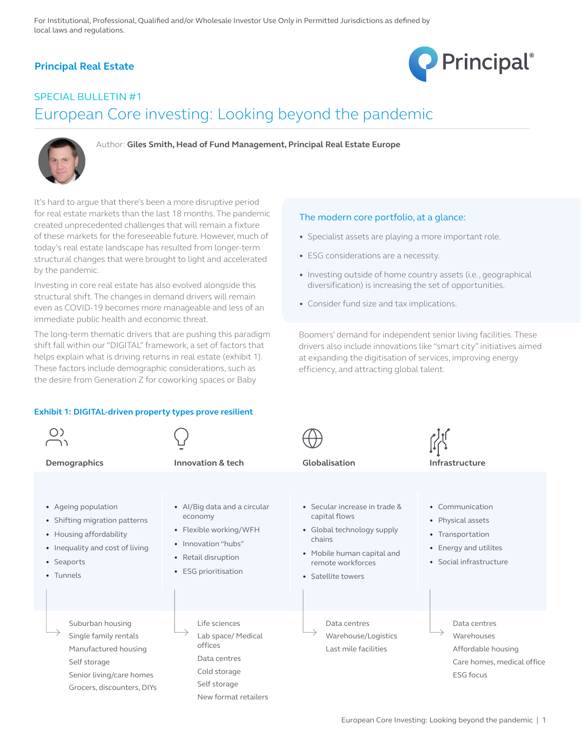# **Principal Real Estate**



# SPECIAL BULLETIN #1 European Core investing: Looking beyond the pandemic



Author: **Giles Smith, Head of Fund Management, Principal Real Estate Europe**

It's hard to argue that there's been a more disruptive period for real estate markets than the last 18 months. The pandemic created unprecedented challenges that will remain a fixture of these markets for the foreseeable future. However, much of today's real estate landscape has resulted from longer-term structural changes that were brought to light and accelerated by the pandemic.

Investing in core real estate has also evolved alongside this structural shift. The changes in demand drivers will remain even as COVID-19 becomes more manageable and less of an immediate public health and economic threat.

The long-term thematic drivers that are pushing this paradigm shift fall within our "DIGITAL" framework, a set of factors that helps explain what is driving returns in real estate (exhibit 1). These factors include demographic considerations, such as the desire from Generation Z for coworking spaces or Baby

### **Exhibit 1: DIGITAL-driven property types prove resilient**

| Demographics                                                                                                                                  | Innovation & tech                                                                                                                       | Globalisation                                                                                                                                                   | Infrastructure                                                                                               |
|-----------------------------------------------------------------------------------------------------------------------------------------------|-----------------------------------------------------------------------------------------------------------------------------------------|-----------------------------------------------------------------------------------------------------------------------------------------------------------------|--------------------------------------------------------------------------------------------------------------|
| • Ageing population<br>• Shifting migration patterns<br>• Housing affordability<br>• Inequality and cost of living<br>• Seaports<br>• Tunnels | • Al/Big data and a circular<br>economy<br>• Flexible working/WFH<br>• Innovation "hubs"<br>• Retail disruption<br>• ESG prioritisation | • Secular increase in trade &<br>capital flows<br>• Global technology supply<br>chains<br>• Mobile human capital and<br>remote workforces<br>• Satellite towers | • Communication<br>• Physical assets<br>• Transportation<br>• Energy and utilites<br>• Social infrastructure |
| Suburban housing<br>Single family rentals<br>Manufactured housing<br>Self storage<br>Senior living/care homes<br>Grocers, discounters, DIYs   | Life sciences<br>Lab space/ Medical<br>offices<br>Data centres<br>Cold storage<br>Self storage<br>New format retailers                  | Data centres<br>Warehouse/Logistics<br>Last mile facilities                                                                                                     | Data centres<br>Warehouses<br>Affordable housing<br>Care homes, medical office<br><b>ESG focus</b>           |

Boomers' demand for independent senior living facilities. These drivers also include innovations like "smart city" initiatives aimed at expanding the digitisation of services, improving energy

• Investing outside of home country assets (i.e., geographical diversification) is increasing the set of opportunities.

efficiency, and attracting global talent.

The modern core portfolio, at a glance:

• ESG considerations are a necessity.

• Consider fund size and tax implications.

• Specialist assets are playing a more important role.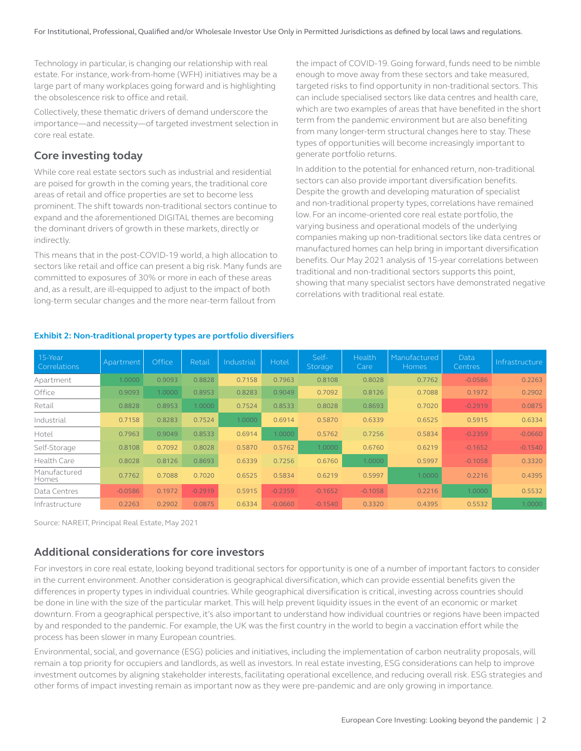Technology in particular, is changing our relationship with real estate. For instance, work-from-home (WFH) initiatives may be a large part of many workplaces going forward and is highlighting the obsolescence risk to office and retail.

Collectively, these thematic drivers of demand underscore the importance—and necessity—of targeted investment selection in core real estate.

# **Core investing today**

While core real estate sectors such as industrial and residential are poised for growth in the coming years, the traditional core areas of retail and office properties are set to become less prominent. The shift towards non-traditional sectors continue to expand and the aforementioned DIGITAL themes are becoming the dominant drivers of growth in these markets, directly or indirectly.

This means that in the post-COVID-19 world, a high allocation to sectors like retail and office can present a big risk. Many funds are committed to exposures of 30% or more in each of these areas and, as a result, are ill-equipped to adjust to the impact of both long-term secular changes and the more near-term fallout from

the impact of COVID-19. Going forward, funds need to be nimble enough to move away from these sectors and take measured, targeted risks to find opportunity in non-traditional sectors. This can include specialised sectors like data centres and health care, which are two examples of areas that have benefited in the short term from the pandemic environment but are also benefiting from many longer-term structural changes here to stay. These types of opportunities will become increasingly important to generate portfolio returns.

In addition to the potential for enhanced return, non-traditional sectors can also provide important diversification benefits. Despite the growth and developing maturation of specialist and non-traditional property types, correlations have remained low. For an income-oriented core real estate portfolio, the varying business and operational models of the underlying companies making up non-traditional sectors like data centres or manufactured homes can help bring in important diversification benefits. Our May 2021 analysis of 15-year correlations between traditional and non-traditional sectors supports this point, showing that many specialist sectors have demonstrated negative correlations with traditional real estate.

| 15-Year<br>Correlations | Apartment | Office | Retail    | Industrial | Hotel     | Self-<br>Storage | Health<br>Care | Manufactured<br><b>Homes</b> | Data<br><b>Centres</b> | Infrastructure |
|-------------------------|-----------|--------|-----------|------------|-----------|------------------|----------------|------------------------------|------------------------|----------------|
| Apartment               | 1.0000    | 0.9093 | 0.8828    | 0.7158     | 0.7963    | 0.8108           | 0.8028         | 0.7762                       | $-0.0586$              | 0.2263         |
| Office                  | 0.9093    | 1.0000 | 0.8953    | 0.8283     | 0.9049    | 0.7092           | 0.8126         | 0.7088                       | 0.1972                 | 0.2902         |
| Retail                  | 0.8828    | 0.8953 | 1.0000    | 0.7524     | 0.8533    | 0.8028           | 0.8693         | 0.7020                       | $-0.2919$              | 0.0875         |
| Industrial              | 0.7158    | 0.8283 | 0.7524    | 1.0000     | 0.6914    | 0.5870           | 0.6339         | 0.6525                       | 0.5915                 | 0.6334         |
| Hotel                   | 0.7963    | 0.9049 | 0.8533    | 0.6914     | 1.0000    | 0.5762           | 0.7256         | 0.5834                       | $-0.2359$              | $-0.0660$      |
| Self-Storage            | 0.8108    | 0.7092 | 0.8028    | 0.5870     | 0.5762    | 1.0000           | 0.6760         | 0.6219                       | $-0.1652$              | $-0.1540$      |
| Health Care             | 0.8028    | 0.8126 | 0.8693    | 0.6339     | 0.7256    | 0.6760           | 1.0000         | 0.5997                       | $-0.1058$              | 0.3320         |
| Manufactured<br>Homes   | 0.7762    | 0.7088 | 0.7020    | 0.6525     | 0.5834    | 0.6219           | 0.5997         | 1.0000                       | 0.2216                 | 0.4395         |
| Data Centres            | $-0.0586$ | 0.1972 | $-0.2919$ | 0.5915     | $-0.2359$ | $-0.1652$        | $-0.1058$      | 0.2216                       | 1.0000                 | 0.5532         |
| Infrastructure          | 0.2263    | 0.2902 | 0.0875    | 0.6334     | $-0.0660$ | $-0.1540$        | 0.3320         | 0.4395                       | 0.5532                 | 1.0000         |

### **Exhibit 2: Non-traditional property types are portfolio diversifiers**

Source: NAREIT, Principal Real Estate, May 2021

## **Additional considerations for core investors**

For investors in core real estate, looking beyond traditional sectors for opportunity is one of a number of important factors to consider in the current environment. Another consideration is geographical diversification, which can provide essential benefits given the differences in property types in individual countries. While geographical diversification is critical, investing across countries should be done in line with the size of the particular market. This will help prevent liquidity issues in the event of an economic or market downturn. From a geographical perspective, it's also important to understand how individual countries or regions have been impacted by and responded to the pandemic. For example, the UK was the first country in the world to begin a vaccination effort while the process has been slower in many European countries.

Environmental, social, and governance (ESG) policies and initiatives, including the implementation of carbon neutrality proposals, will remain a top priority for occupiers and landlords, as well as investors. In real estate investing, ESG considerations can help to improve investment outcomes by aligning stakeholder interests, facilitating operational excellence, and reducing overall risk. ESG strategies and other forms of impact investing remain as important now as they were pre-pandemic and are only growing in importance.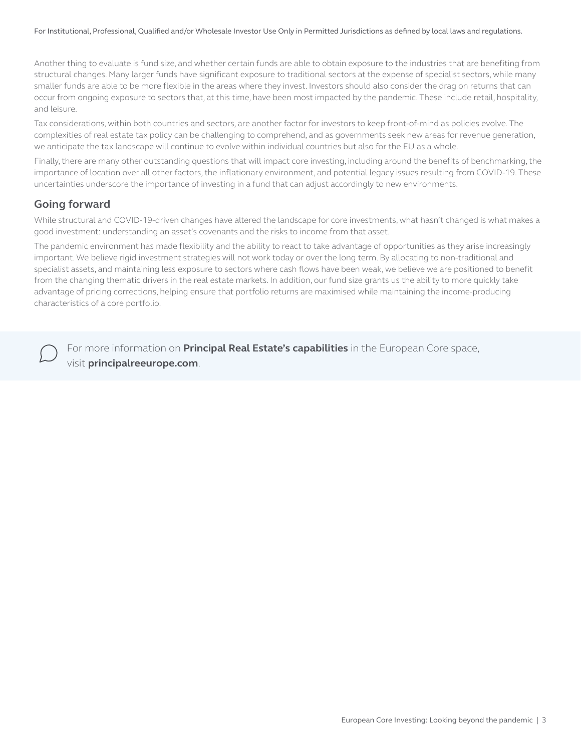Another thing to evaluate is fund size, and whether certain funds are able to obtain exposure to the industries that are benefiting from structural changes. Many larger funds have significant exposure to traditional sectors at the expense of specialist sectors, while many smaller funds are able to be more flexible in the areas where they invest. Investors should also consider the drag on returns that can occur from ongoing exposure to sectors that, at this time, have been most impacted by the pandemic. These include retail, hospitality, and leisure.

Tax considerations, within both countries and sectors, are another factor for investors to keep front-of-mind as policies evolve. The complexities of real estate tax policy can be challenging to comprehend, and as governments seek new areas for revenue generation, we anticipate the tax landscape will continue to evolve within individual countries but also for the EU as a whole.

Finally, there are many other outstanding questions that will impact core investing, including around the benefits of benchmarking, the importance of location over all other factors, the inflationary environment, and potential legacy issues resulting from COVID-19. These uncertainties underscore the importance of investing in a fund that can adjust accordingly to new environments.

### **Going forward**

While structural and COVID-19-driven changes have altered the landscape for core investments, what hasn't changed is what makes a good investment: understanding an asset's covenants and the risks to income from that asset.

The pandemic environment has made flexibility and the ability to react to take advantage of opportunities as they arise increasingly important. We believe rigid investment strategies will not work today or over the long term. By allocating to non-traditional and specialist assets, and maintaining less exposure to sectors where cash flows have been weak, we believe we are positioned to benefit from the changing thematic drivers in the real estate markets. In addition, our fund size grants us the ability to more quickly take advantage of pricing corrections, helping ensure that portfolio returns are maximised while maintaining the income-producing characteristics of a core portfolio.

For more information on **Principal Real Estate's capabilities** in the European Core space, visit **principalreeurope.com**.